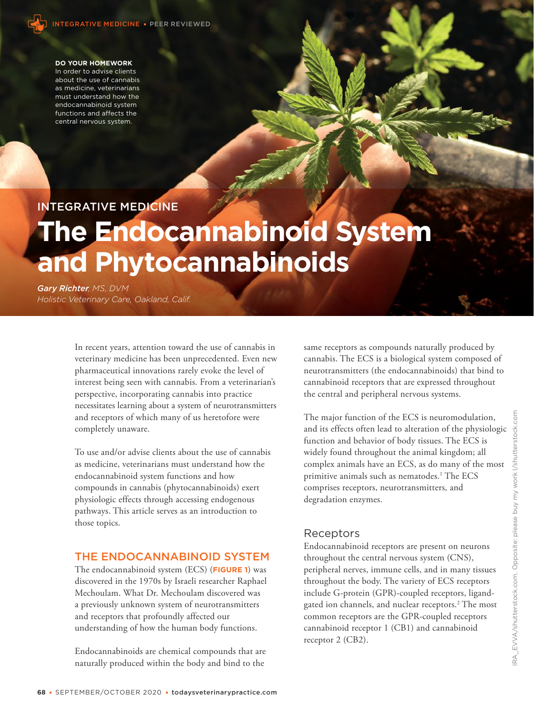

#### **DO YOUR HOMEWORK**

In order to advise clients about the use of cannabis as medicine, veterinarians must understand how the endocannabinoid system functions and affects the central nervous system.

# INTEGRATIVE MEDICINE

# **The Endocannabinoid System and Phytocannabinoids**

*Gary Richter, MS, DVM Holistic Veterinary Care, Oakland, Calif.*

> In recent years, attention toward the use of cannabis in veterinary medicine has been unprecedented. Even new pharmaceutical innovations rarely evoke the level of interest being seen with cannabis. From a veterinarian's perspective, incorporating cannabis into practice necessitates learning about a system of neurotransmitters and receptors of which many of us heretofore were completely unaware.

To use and/or advise clients about the use of cannabis as medicine, veterinarians must understand how the endocannabinoid system functions and how compounds in cannabis (phytocannabinoids) exert physiologic effects through accessing endogenous pathways. This article serves as an introduction to those topics.

## THE ENDOCANNABINOID SYSTEM

The endocannabinoid system (ECS) (**FIGURE 1**) was discovered in the 1970s by Israeli researcher Raphael Mechoulam. What Dr. Mechoulam discovered was a previously unknown system of neurotransmitters and receptors that profoundly affected our understanding of how the human body functions.

Endocannabinoids are chemical compounds that are naturally produced within the body and bind to the

same receptors as compounds naturally produced by cannabis. The ECS is a biological system composed of neurotransmitters (the endocannabinoids) that bind to cannabinoid receptors that are expressed throughout the central and peripheral nervous systems.

The major function of the ECS is neuromodulation, and its effects often lead to alteration of the physiologic function and behavior of body tissues. The ECS is widely found throughout the animal kingdom; all complex animals have an ECS, as do many of the most primitive animals such as nematodes.<sup>1</sup> The ECS comprises receptors, neurotransmitters, and degradation enzymes.

## Receptors

Endocannabinoid receptors are present on neurons throughout the central nervous system (CNS), peripheral nerves, immune cells, and in many tissues throughout the body. The variety of ECS receptors include G-protein (GPR)-coupled receptors, ligandgated ion channels, and nuclear receptors.<sup>2</sup> The most common receptors are the GPR-coupled receptors cannabinoid receptor 1 (CB1) and cannabinoid receptor 2 (CB2).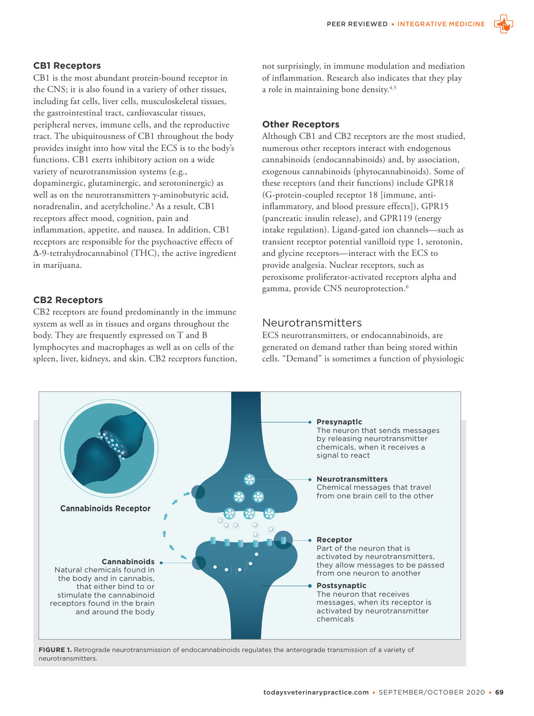#### **CB1 Receptors**

CB1 is the most abundant protein-bound receptor in the CNS; it is also found in a variety of other tissues, including fat cells, liver cells, musculoskeletal tissues, the gastrointestinal tract, cardiovascular tissues, peripheral nerves, immune cells, and the reproductive tract. The ubiquitousness of CB1 throughout the body provides insight into how vital the ECS is to the body's functions. CB1 exerts inhibitory action on a wide variety of neurotransmission systems (e.g., dopaminergic, glutaminergic, and serotoninergic) as well as on the neurotransmitters γ-aminobutyric acid, noradrenalin, and acetylcholine.3 As a result, CB1 receptors affect mood, cognition, pain and inflammation, appetite, and nausea. In addition, CB1 receptors are responsible for the psychoactive effects of Δ-9-tetrahydrocannabinol (THC), the active ingredient in marijuana.

### **CB2 Receptors**

CB2 receptors are found predominantly in the immune system as well as in tissues and organs throughout the body. They are frequently expressed on T and B lymphocytes and macrophages as well as on cells of the spleen, liver, kidneys, and skin. CB2 receptors function, not surprisingly, in immune modulation and mediation of inflammation. Research also indicates that they play a role in maintaining bone density.<sup>4,5</sup>

#### **Other Receptors**

Although CB1 and CB2 receptors are the most studied, numerous other receptors interact with endogenous cannabinoids (endocannabinoids) and, by association, exogenous cannabinoids (phytocannabinoids). Some of these receptors (and their functions) include GPR18 (G-protein-coupled receptor 18 [immune, antiinflammatory, and blood pressure effects]), GPR15 (pancreatic insulin release), and GPR119 (energy intake regulation). Ligand-gated ion channels—such as transient receptor potential vanilloid type 1, serotonin, and glycine receptors—interact with the ECS to provide analgesia. Nuclear receptors, such as peroxisome proliferator-activated receptors alpha and gamma, provide CNS neuroprotection.6

## Neurotransmitters

ECS neurotransmitters, or endocannabinoids, are generated on demand rather than being stored within cells. "Demand" is sometimes a function of physiologic



**FIGURE 1.** Retrograde neurotransmission of endocannabinoids regulates the anterograde transmission of a variety of neurotransmitters.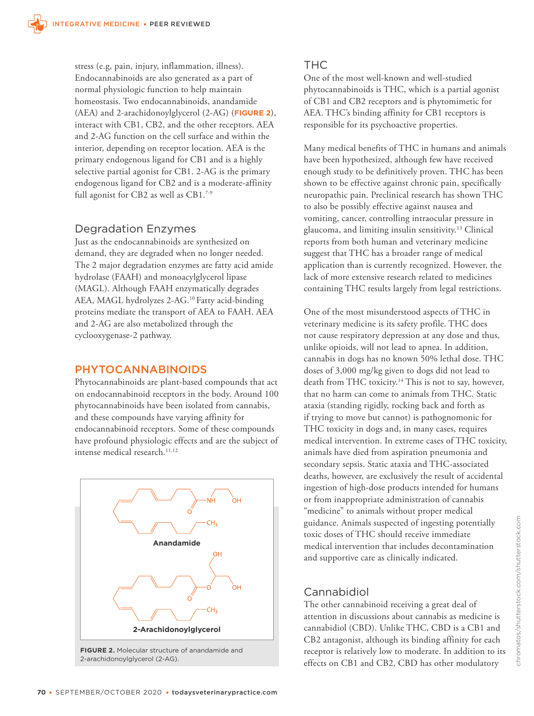stress (e.g, pain, injury, inflammation, illness). Endocannabinoids are also generated as a part of normal physiologic function to help maintain homeostasis. Two endocannabinoids, anandamide (AEA) and 2-arachidonoylglycerol (2-AG) (**FIGURE 2**), interact with CB1, CB2, and the other receptors. AEA and 2-AG function on the cell surface and within the interior, depending on receptor location. AEA is the primary endogenous ligand for CB1 and is a highly selective partial agonist for CB1. 2-AG is the primary endogenous ligand for CB2 and is a moderate-affinity full agonist for CB2 as well as CB1.<sup>7-9</sup>

# Degradation Enzymes

Just as the endocannabinoids are synthesized on demand, they are degraded when no longer needed. The 2 major degradation enzymes are fatty acid amide hydrolase (FAAH) and monoacylglycerol lipase (MAGL). Although FAAH enzymatically degrades AEA, MAGL hydrolyzes 2-AG.10 Fatty acid-binding proteins mediate the transport of AEA to FAAH. AEA and 2-AG are also metabolized through the cyclooxygenase-2 pathway.

# PHYTOCANNABINOIDS

Phytocannabinoids are plant-based compounds that act on endocannabinoid receptors in the body. Around 100 phytocannabinoids have been isolated from cannabis, and these compounds have varying affinity for endocannabinoid receptors. Some of these compounds have profound physiologic effects and are the subject of intense medical research.<sup>11,12</sup>



# THC

One of the most well-known and well-studied phytocannabinoids is THC, which is a partial agonist of CB1 and CB2 receptors and is phytomimetic for AEA. THC's binding affinity for CB1 receptors is responsible for its psychoactive properties.

Many medical benefits of THC in humans and animals have been hypothesized, although few have received enough study to be definitively proven. THC has been shown to be effective against chronic pain, specifically neuropathic pain. Preclinical research has shown THC to also be possibly effective against nausea and vomiting, cancer, controlling intraocular pressure in glaucoma, and limiting insulin sensitivity.13 Clinical reports from both human and veterinary medicine suggest that THC has a broader range of medical application than is currently recognized. However, the lack of more extensive research related to medicines containing THC results largely from legal restrictions.

One of the most misunderstood aspects of THC in veterinary medicine is its safety profile. THC does not cause respiratory depression at any dose and thus, unlike opioids, will not lead to apnea. In addition, cannabis in dogs has no known 50% lethal dose. THC doses of 3,000 mg/kg given to dogs did not lead to death from THC toxicity.<sup>14</sup> This is not to say, however, that no harm can come to animals from THC. Static ataxia (standing rigidly, rocking back and forth as if trying to move but cannot) is pathognomonic for THC toxicity in dogs and, in many cases, requires medical intervention. In extreme cases of THC toxicity, animals have died from aspiration pneumonia and secondary sepsis. Static ataxia and THC-associated deaths, however, are exclusively the result of accidental ingestion of high-dose products intended for humans or from inappropriate administration of cannabis "medicine" to animals without proper medical guidance. Animals suspected of ingesting potentially toxic doses of THC should receive immediate medical intervention that includes decontamination and supportive care as clinically indicated.

# Cannabidiol

The other cannabinoid receiving a great deal of attention in discussions about cannabis as medicine is cannabidiol (CBD). Unlike THC, CBD is a CB1 and CB2 antagonist, although its binding affinity for each receptor is relatively low to moderate. In addition to its effects on CB1 and CB2, CBD has other modulatory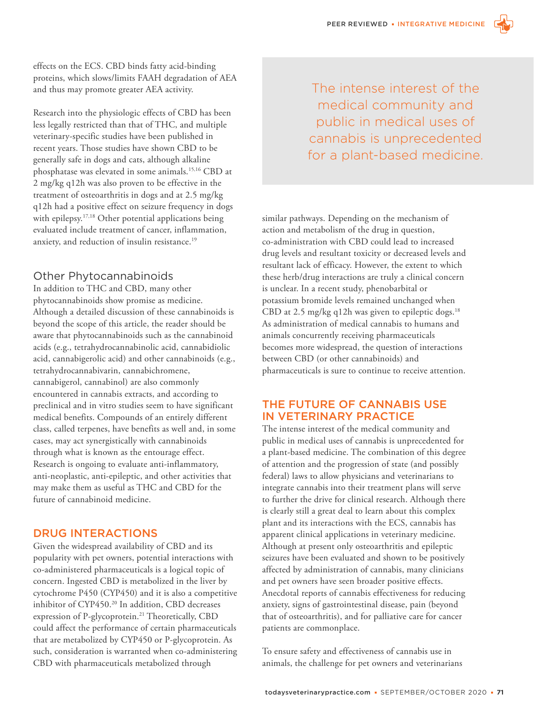

Research into the physiologic effects of CBD has been less legally restricted than that of THC, and multiple veterinary-specific studies have been published in recent years. Those studies have shown CBD to be generally safe in dogs and cats, although alkaline phosphatase was elevated in some animals.15,16 CBD at 2 mg/kg q12h was also proven to be effective in the treatment of osteoarthritis in dogs and at 2.5 mg/kg q12h had a positive effect on seizure frequency in dogs with epilepsy.<sup>17,18</sup> Other potential applications being evaluated include treatment of cancer, inflammation, anxiety, and reduction of insulin resistance.19

## Other Phytocannabinoids

In addition to THC and CBD, many other phytocannabinoids show promise as medicine. Although a detailed discussion of these cannabinoids is beyond the scope of this article, the reader should be aware that phytocannabinoids such as the cannabinoid acids (e.g., tetrahydrocannabinolic acid, cannabidiolic acid, cannabigerolic acid) and other cannabinoids (e.g., tetrahydrocannabivarin, cannabichromene, cannabigerol, cannabinol) are also commonly encountered in cannabis extracts, and according to preclinical and in vitro studies seem to have significant medical benefits. Compounds of an entirely different class, called terpenes, have benefits as well and, in some cases, may act synergistically with cannabinoids through what is known as the entourage effect. Research is ongoing to evaluate anti-inflammatory, anti-neoplastic, anti-epileptic, and other activities that may make them as useful as THC and CBD for the future of cannabinoid medicine.

# DRUG INTERACTIONS

Given the widespread availability of CBD and its popularity with pet owners, potential interactions with co-administered pharmaceuticals is a logical topic of concern. Ingested CBD is metabolized in the liver by cytochrome P450 (CYP450) and it is also a competitive inhibitor of CYP450.20 In addition, CBD decreases expression of P-glycoprotein.<sup>21</sup> Theoretically, CBD could affect the performance of certain pharmaceuticals that are metabolized by CYP450 or P-glycoprotein. As such, consideration is warranted when co-administering CBD with pharmaceuticals metabolized through

The intense interest of the medical community and public in medical uses of cannabis is unprecedented for a plant-based medicine.

similar pathways. Depending on the mechanism of action and metabolism of the drug in question, co-administration with CBD could lead to increased drug levels and resultant toxicity or decreased levels and resultant lack of efficacy. However, the extent to which these herb/drug interactions are truly a clinical concern is unclear. In a recent study, phenobarbital or potassium bromide levels remained unchanged when CBD at 2.5 mg/kg q12h was given to epileptic dogs.<sup>18</sup> As administration of medical cannabis to humans and animals concurrently receiving pharmaceuticals becomes more widespread, the question of interactions between CBD (or other cannabinoids) and pharmaceuticals is sure to continue to receive attention.

## THE FUTURE OF CANNABIS USE IN VETERINARY PRACTICE

The intense interest of the medical community and public in medical uses of cannabis is unprecedented for a plant-based medicine. The combination of this degree of attention and the progression of state (and possibly federal) laws to allow physicians and veterinarians to integrate cannabis into their treatment plans will serve to further the drive for clinical research. Although there is clearly still a great deal to learn about this complex plant and its interactions with the ECS, cannabis has apparent clinical applications in veterinary medicine. Although at present only osteoarthritis and epileptic seizures have been evaluated and shown to be positively affected by administration of cannabis, many clinicians and pet owners have seen broader positive effects. Anecdotal reports of cannabis effectiveness for reducing anxiety, signs of gastrointestinal disease, pain (beyond that of osteoarthritis), and for palliative care for cancer patients are commonplace.

To ensure safety and effectiveness of cannabis use in animals, the challenge for pet owners and veterinarians